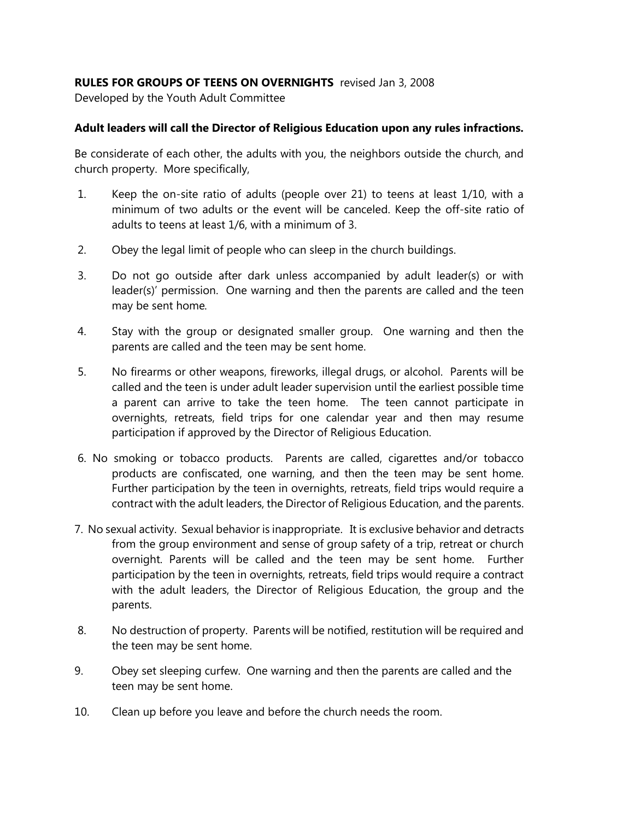## **RULES FOR GROUPS OF TEENS ON OVERNIGHTS** revised Jan 3, 2008

Developed by the Youth Adult Committee

## **Adult leaders will call the Director of Religious Education upon any rules infractions.**

Be considerate of each other, the adults with you, the neighbors outside the church, and church property. More specifically,

- 1. Keep the on-site ratio of adults (people over 21) to teens at least 1/10, with a minimum of two adults or the event will be canceled. Keep the off-site ratio of adults to teens at least 1/6, with a minimum of 3.
- 2. Obey the legal limit of people who can sleep in the church buildings.
- 3. Do not go outside after dark unless accompanied by adult leader(s) or with leader(s)' permission. One warning and then the parents are called and the teen may be sent home*.*
- 4. Stay with the group or designated smaller group. One warning and then the parents are called and the teen may be sent home.
- 5. No firearms or other weapons, fireworks, illegal drugs, or alcohol. Parents will be called and the teen is under adult leader supervision until the earliest possible time a parent can arrive to take the teen home. The teen cannot participate in overnights, retreats, field trips for one calendar year and then may resume participation if approved by the Director of Religious Education.
- 6. No smoking or tobacco products. Parents are called, cigarettes and/or tobacco products are confiscated, one warning, and then the teen may be sent home. Further participation by the teen in overnights, retreats, field trips would require a contract with the adult leaders, the Director of Religious Education, and the parents.
- 7. No sexual activity. Sexual behavior is inappropriate. It is exclusive behavior and detracts from the group environment and sense of group safety of a trip, retreat or church overnight. Parents will be called and the teen may be sent home. Further participation by the teen in overnights, retreats, field trips would require a contract with the adult leaders, the Director of Religious Education, the group and the parents.
- 8. No destruction of property. Parents will be notified, restitution will be required and the teen may be sent home.
- 9. Obey set sleeping curfew. One warning and then the parents are called and the teen may be sent home.
- 10. Clean up before you leave and before the church needs the room.